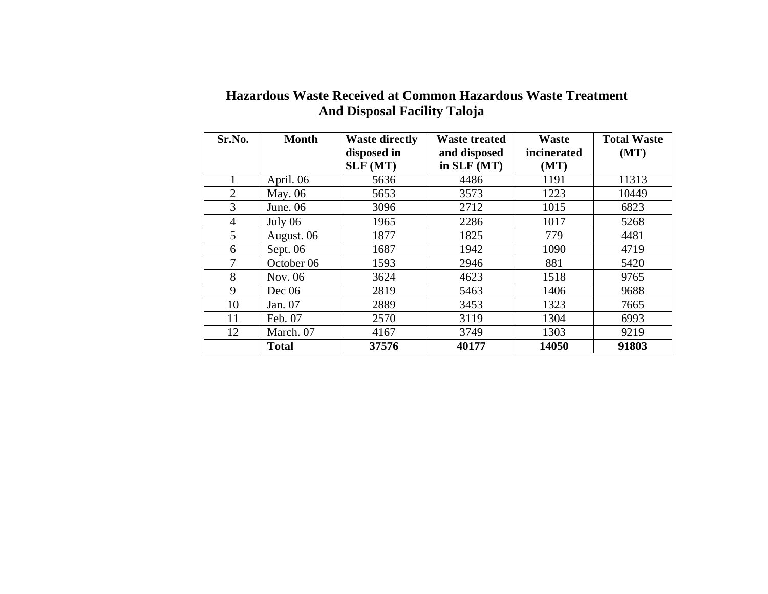| Sr.No.         | <b>Month</b> | <b>Waste directly</b> | <b>Waste treated</b> | <b>Waste</b> | <b>Total Waste</b> |
|----------------|--------------|-----------------------|----------------------|--------------|--------------------|
|                |              | disposed in           | and disposed         | incinerated  | (MT)               |
|                |              | SLF (MT)              | in SLF (MT)          | (MT)         |                    |
|                | April. 06    | 5636                  | 4486                 | 1191         | 11313              |
| $\overline{2}$ | May. 06      | 5653                  | 3573                 | 1223         | 10449              |
| 3              | June. $06$   | 3096                  | 2712                 | 1015         | 6823               |
| 4              | July 06      | 1965                  | 2286                 | 1017         | 5268               |
| 5              | August. 06   | 1877                  | 1825                 | 779          | 4481               |
| 6              | Sept. 06     | 1687                  | 1942                 | 1090         | 4719               |
| 7              | October 06   | 1593                  | 2946                 | 881          | 5420               |
| 8              | Nov. 06      | 3624                  | 4623                 | 1518         | 9765               |
| 9              | Dec 06       | 2819                  | 5463                 | 1406         | 9688               |
| 10             | Jan. 07      | 2889                  | 3453                 | 1323         | 7665               |
| 11             | Feb. 07      | 2570                  | 3119                 | 1304         | 6993               |
| 12             | March. 07    | 4167                  | 3749                 | 1303         | 9219               |
|                | <b>Total</b> | 37576                 | 40177                | 14050        | 91803              |

## **Hazardous Waste Received at Common Hazardous Waste Treatment And Disposal Facility Taloja**